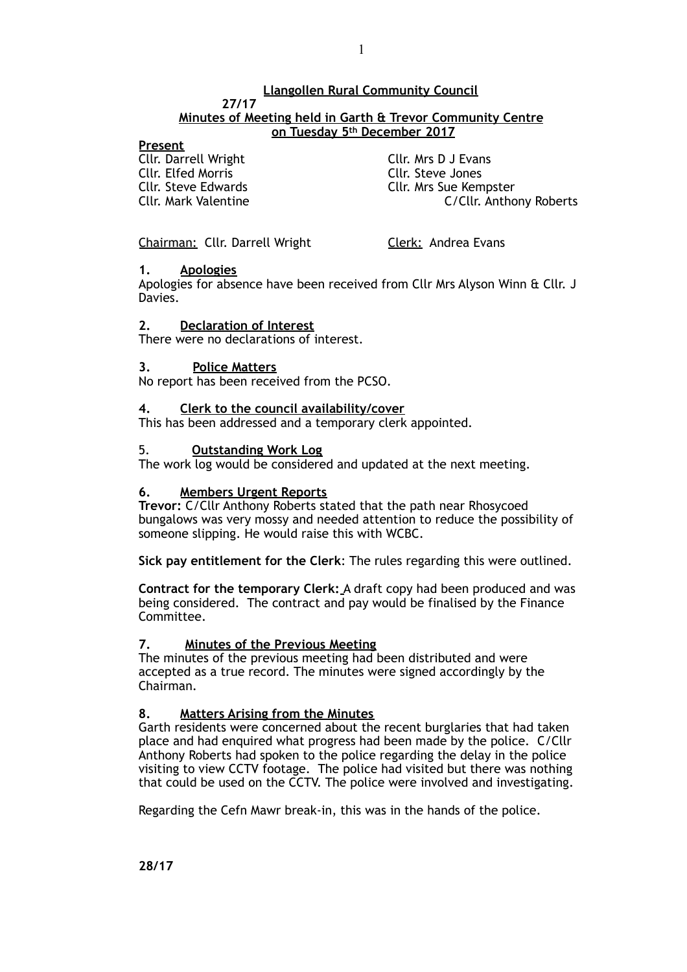## **Llangollen Rural Community Council**

#### **27/17 Minutes of Meeting held in Garth & Trevor Community Centre on Tuesday 5th December 2017**

## **Present**

Cllr. Darrell Wright Cllr. Mrs D J Evans Cllr. Elfed Morris **Cllr. Steve Jones**<br>Cllr. Steve Edwards Cllr. Mrs Sue Kem

Cllr. Steve Edwards<br>
Cllr. Mark Valentine<br>
C/Cllr Antho C/Cllr. Anthony Roberts

Chairman: Cllr. Darrell Wright Clerk: Andrea Evans

## **1. Apologies**

Apologies for absence have been received from Cllr Mrs Alyson Winn & Cllr. J Davies.

## **2. Declaration of Interest**

There were no declarations of interest.

## **3. Police Matters**

No report has been received from the PCSO.

## **4. Clerk to the council availability/cover**

This has been addressed and a temporary clerk appointed.

## 5. **Outstanding Work Log**

The work log would be considered and updated at the next meeting.

## **6. Members Urgent Reports**

**Trevor:** C/Cllr Anthony Roberts stated that the path near Rhosycoed bungalows was very mossy and needed attention to reduce the possibility of someone slipping. He would raise this with WCBC.

**Sick pay entitlement for the Clerk**: The rules regarding this were outlined.

**Contract for the temporary Clerk:** A draft copy had been produced and was being considered. The contract and pay would be finalised by the Finance Committee.

## **7. Minutes of the Previous Meeting**

The minutes of the previous meeting had been distributed and were accepted as a true record. The minutes were signed accordingly by the Chairman.

## **8. Matters Arising from the Minutes**

Garth residents were concerned about the recent burglaries that had taken place and had enquired what progress had been made by the police. C/Cllr Anthony Roberts had spoken to the police regarding the delay in the police visiting to view CCTV footage. The police had visited but there was nothing that could be used on the CCTV. The police were involved and investigating.

Regarding the Cefn Mawr break-in, this was in the hands of the police.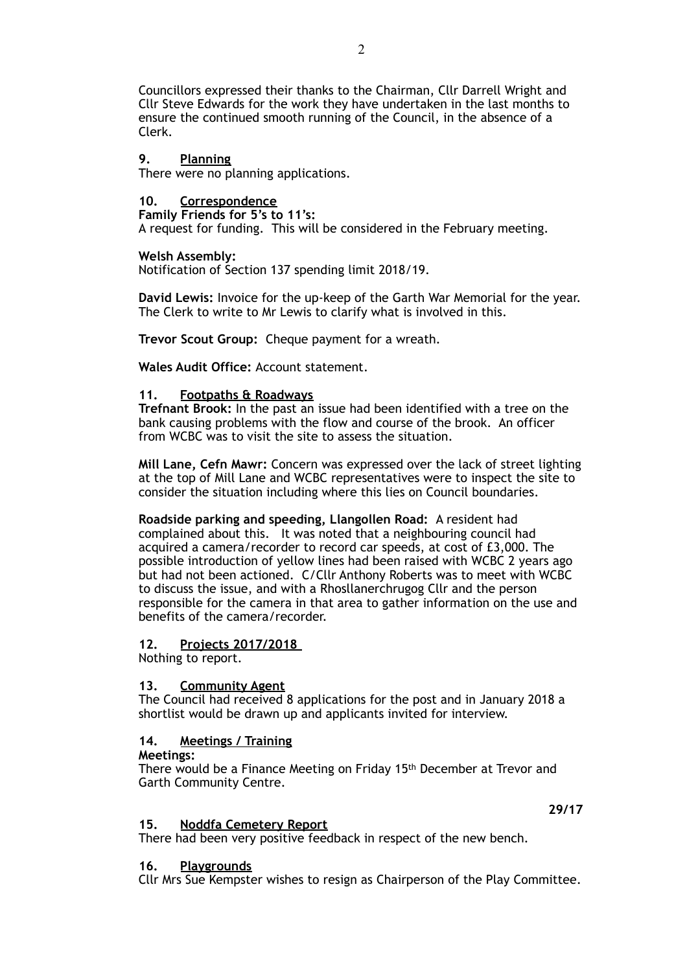Councillors expressed their thanks to the Chairman, Cllr Darrell Wright and Cllr Steve Edwards for the work they have undertaken in the last months to ensure the continued smooth running of the Council, in the absence of a Clerk.

## **9. Planning**

There were no planning applications.

**10. Correspondence**

**Family Friends for 5's to 11's:**  A request for funding. This will be considered in the February meeting.

#### **Welsh Assembly:**

Notification of Section 137 spending limit 2018/19.

**David Lewis:** Invoice for the up-keep of the Garth War Memorial for the year. The Clerk to write to Mr Lewis to clarify what is involved in this.

**Trevor Scout Group: Cheque payment for a wreath.** 

**Wales Audit Office:** Account statement.

#### **11. Footpaths & Roadways**

**Trefnant Brook:** In the past an issue had been identified with a tree on the bank causing problems with the flow and course of the brook. An officer from WCBC was to visit the site to assess the situation.

**Mill Lane, Cefn Mawr:** Concern was expressed over the lack of street lighting at the top of Mill Lane and WCBC representatives were to inspect the site to consider the situation including where this lies on Council boundaries.

**Roadside parking and speeding, Llangollen Road:** A resident had complained about this. It was noted that a neighbouring council had acquired a camera/recorder to record car speeds, at cost of £3,000. The possible introduction of yellow lines had been raised with WCBC 2 years ago but had not been actioned. C/Cllr Anthony Roberts was to meet with WCBC to discuss the issue, and with a Rhosllanerchrugog Cllr and the person responsible for the camera in that area to gather information on the use and benefits of the camera/recorder.

## **12. Projects 2017/2018**

Nothing to report.

## **13. Community Agent**

The Council had received 8 applications for the post and in January 2018 a shortlist would be drawn up and applicants invited for interview.

## **14. Meetings / Training**

#### **Meetings:**

There would be a Finance Meeting on Friday 15th December at Trevor and Garth Community Centre.

#### **15. Noddfa Cemetery Report**

There had been very positive feedback in respect of the new bench.

#### **16. Playgrounds**

Cllr Mrs Sue Kempster wishes to resign as Chairperson of the Play Committee.

**29/17**